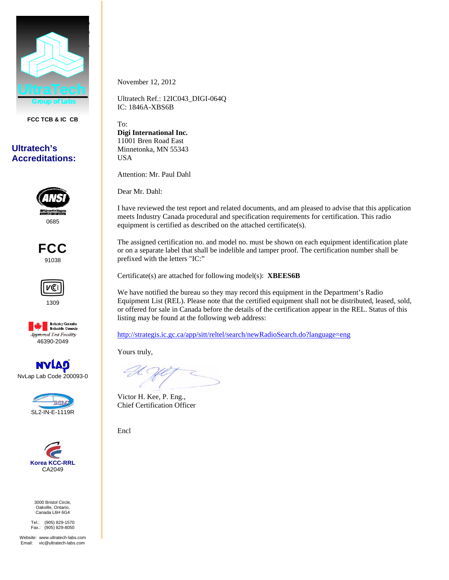

**FCC TCB & IC CB** 

## **Ultratech's Accreditations:**



FCC 91038



1309



NvLap Lab Code 200093-0





3000 Bristol Circle, Oakville, Ontario, Canada L6H 6G4

Tel.: (905) 829-1570 Fax.: (905) 829-8050

Website: www.ultratech-labs.com Email: vic@ultratech-labs.com

November 12, 2012

Ultratech Ref.: 12IC043\_DIGI-064Q IC: 1846A-XBS6B

To: **Digi International Inc.**  11001 Bren Road East Minnetonka, MN 55343 USA

Attention: Mr. Paul Dahl

Dear Mr. Dahl:

I have reviewed the test report and related documents, and am pleased to advise that this application meets Industry Canada procedural and specification requirements for certification. This radio equipment is certified as described on the attached certificate(s).

The assigned certification no. and model no. must be shown on each equipment identification plate or on a separate label that shall be indelible and tamper proof. The certification number shall be prefixed with the letters "IC:"

Certificate(s) are attached for following model(s): **XBEES6B**

We have notified the bureau so they may record this equipment in the Department's Radio Equipment List (REL). Please note that the certified equipment shall not be distributed, leased, sold, or offered for sale in Canada before the details of the certification appear in the REL. Status of this listing may be found at the following web address:

http://strategis.ic.gc.ca/app/sitt/reltel/search/newRadioSearch.do?language=eng

Yours truly,

Victor H. Kee, P. Eng., Chief Certification Officer

Encl